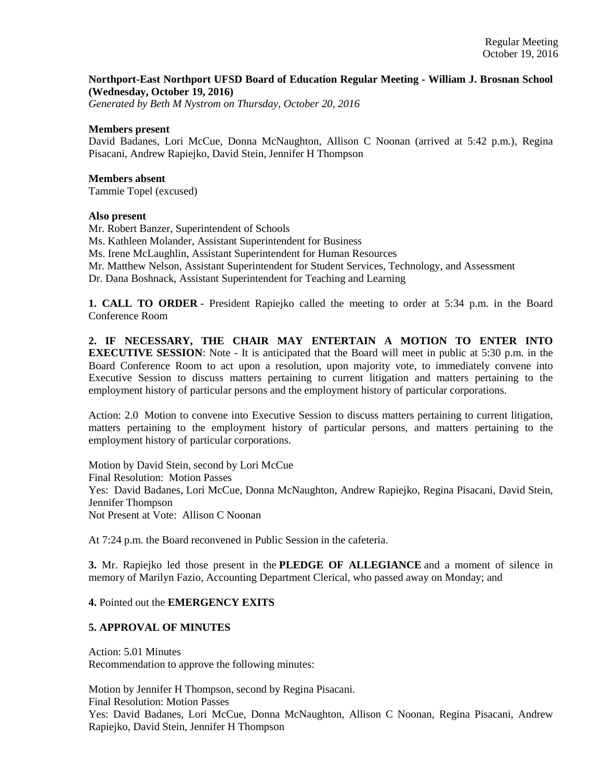#### **Northport-East Northport UFSD Board of Education Regular Meeting - William J. Brosnan School (Wednesday, October 19, 2016)**

*Generated by Beth M Nystrom on Thursday, October 20, 2016*

#### **Members present**

David Badanes, Lori McCue, Donna McNaughton, Allison C Noonan (arrived at 5:42 p.m.), Regina Pisacani, Andrew Rapiejko, David Stein, Jennifer H Thompson

#### **Members absent**

Tammie Topel (excused)

#### **Also present**

Mr. Robert Banzer, Superintendent of Schools

Ms. Kathleen Molander, Assistant Superintendent for Business

Ms. Irene McLaughlin, Assistant Superintendent for Human Resources

Mr. Matthew Nelson, Assistant Superintendent for Student Services, Technology, and Assessment

Dr. Dana Boshnack, Assistant Superintendent for Teaching and Learning

**1. CALL TO ORDER** - President Rapiejko called the meeting to order at 5:34 p.m. in the Board Conference Room

**2. IF NECESSARY, THE CHAIR MAY ENTERTAIN A MOTION TO ENTER INTO EXECUTIVE SESSION:** Note - It is anticipated that the Board will meet in public at 5:30 p.m. in the Board Conference Room to act upon a resolution, upon majority vote, to immediately convene into Executive Session to discuss matters pertaining to current litigation and matters pertaining to the employment history of particular persons and the employment history of particular corporations.

Action: 2.0 Motion to convene into Executive Session to discuss matters pertaining to current litigation, matters pertaining to the employment history of particular persons, and matters pertaining to the employment history of particular corporations.

Motion by David Stein, second by Lori McCue Final Resolution: Motion Passes Yes: David Badanes, Lori McCue, Donna McNaughton, Andrew Rapiejko, Regina Pisacani, David Stein, Jennifer Thompson Not Present at Vote: Allison C Noonan

At 7:24 p.m. the Board reconvened in Public Session in the cafeteria.

**3.** Mr. Rapiejko led those present in the **PLEDGE OF ALLEGIANCE** and a moment of silence in memory of Marilyn Fazio, Accounting Department Clerical, who passed away on Monday; and

## **4.** Pointed out the **EMERGENCY EXITS**

## **5. APPROVAL OF MINUTES**

Action: 5.01 Minutes Recommendation to approve the following minutes:

Motion by Jennifer H Thompson, second by Regina Pisacani.

Final Resolution: Motion Passes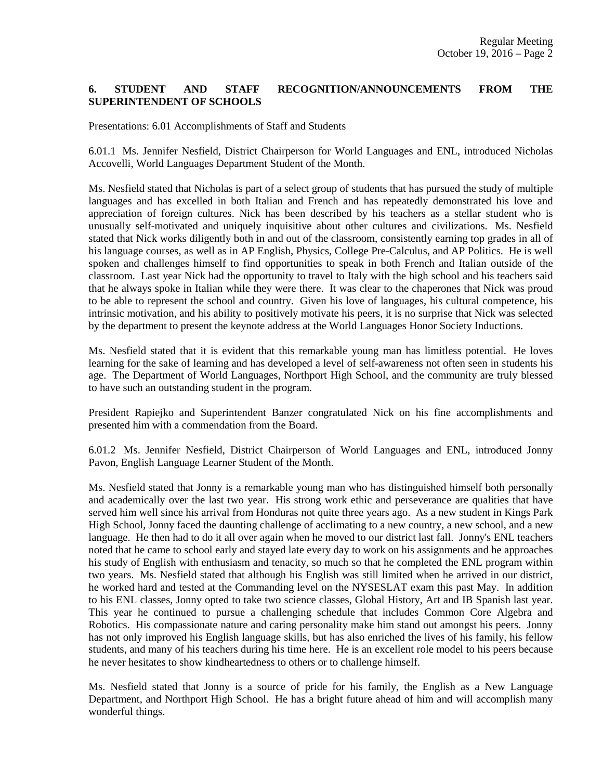# **6. STUDENT AND STAFF RECOGNITION/ANNOUNCEMENTS FROM THE SUPERINTENDENT OF SCHOOLS**

Presentations: 6.01 Accomplishments of Staff and Students

6.01.1 Ms. Jennifer Nesfield, District Chairperson for World Languages and ENL, introduced Nicholas Accovelli, World Languages Department Student of the Month.

Ms. Nesfield stated that Nicholas is part of a select group of students that has pursued the study of multiple languages and has excelled in both Italian and French and has repeatedly demonstrated his love and appreciation of foreign cultures. Nick has been described by his teachers as a stellar student who is unusually self-motivated and uniquely inquisitive about other cultures and civilizations. Ms. Nesfield stated that Nick works diligently both in and out of the classroom, consistently earning top grades in all of his language courses, as well as in AP English, Physics, College Pre-Calculus, and AP Politics. He is well spoken and challenges himself to find opportunities to speak in both French and Italian outside of the classroom. Last year Nick had the opportunity to travel to Italy with the high school and his teachers said that he always spoke in Italian while they were there. It was clear to the chaperones that Nick was proud to be able to represent the school and country. Given his love of languages, his cultural competence, his intrinsic motivation, and his ability to positively motivate his peers, it is no surprise that Nick was selected by the department to present the keynote address at the World Languages Honor Society Inductions.

Ms. Nesfield stated that it is evident that this remarkable young man has limitless potential. He loves learning for the sake of learning and has developed a level of self-awareness not often seen in students his age. The Department of World Languages, Northport High School, and the community are truly blessed to have such an outstanding student in the program.

President Rapiejko and Superintendent Banzer congratulated Nick on his fine accomplishments and presented him with a commendation from the Board.

6.01.2 Ms. Jennifer Nesfield, District Chairperson of World Languages and ENL, introduced Jonny Pavon, English Language Learner Student of the Month.

Ms. Nesfield stated that Jonny is a remarkable young man who has distinguished himself both personally and academically over the last two year. His strong work ethic and perseverance are qualities that have served him well since his arrival from Honduras not quite three years ago. As a new student in Kings Park High School, Jonny faced the daunting challenge of acclimating to a new country, a new school, and a new language. He then had to do it all over again when he moved to our district last fall. Jonny's ENL teachers noted that he came to school early and stayed late every day to work on his assignments and he approaches his study of English with enthusiasm and tenacity, so much so that he completed the ENL program within two years. Ms. Nesfield stated that although his English was still limited when he arrived in our district, he worked hard and tested at the Commanding level on the NYSESLAT exam this past May. In addition to his ENL classes, Jonny opted to take two science classes, Global History, Art and IB Spanish last year. This year he continued to pursue a challenging schedule that includes Common Core Algebra and Robotics. His compassionate nature and caring personality make him stand out amongst his peers. Jonny has not only improved his English language skills, but has also enriched the lives of his family, his fellow students, and many of his teachers during his time here. He is an excellent role model to his peers because he never hesitates to show kindheartedness to others or to challenge himself.

Ms. Nesfield stated that Jonny is a source of pride for his family, the English as a New Language Department, and Northport High School. He has a bright future ahead of him and will accomplish many wonderful things.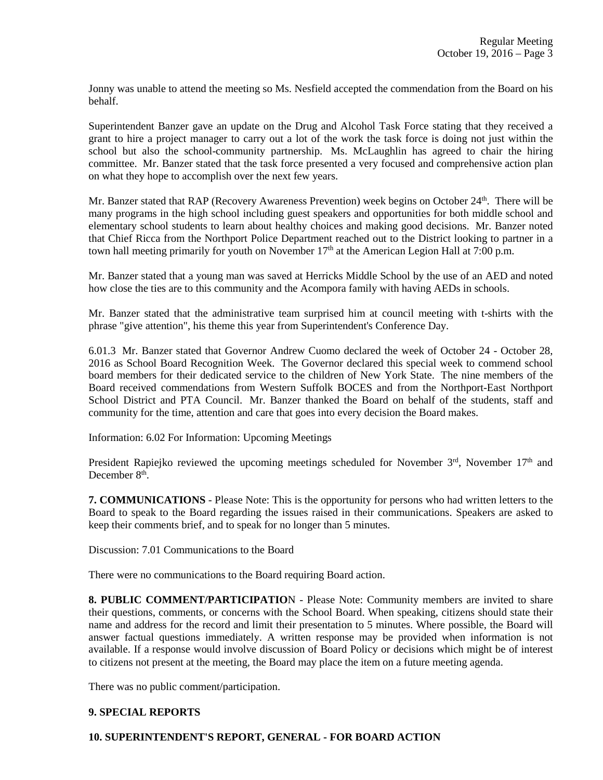Jonny was unable to attend the meeting so Ms. Nesfield accepted the commendation from the Board on his behalf.

Superintendent Banzer gave an update on the Drug and Alcohol Task Force stating that they received a grant to hire a project manager to carry out a lot of the work the task force is doing not just within the school but also the school-community partnership. Ms. McLaughlin has agreed to chair the hiring committee. Mr. Banzer stated that the task force presented a very focused and comprehensive action plan on what they hope to accomplish over the next few years.

Mr. Banzer stated that RAP (Recovery Awareness Prevention) week begins on October 24<sup>th</sup>. There will be many programs in the high school including guest speakers and opportunities for both middle school and elementary school students to learn about healthy choices and making good decisions. Mr. Banzer noted that Chief Ricca from the Northport Police Department reached out to the District looking to partner in a town hall meeting primarily for youth on November  $17<sup>th</sup>$  at the American Legion Hall at 7:00 p.m.

Mr. Banzer stated that a young man was saved at Herricks Middle School by the use of an AED and noted how close the ties are to this community and the Acompora family with having AEDs in schools.

Mr. Banzer stated that the administrative team surprised him at council meeting with t-shirts with the phrase "give attention", his theme this year from Superintendent's Conference Day.

6.01.3 Mr. Banzer stated that Governor Andrew Cuomo declared the week of October 24 - October 28, 2016 as School Board Recognition Week. The Governor declared this special week to commend school board members for their dedicated service to the children of New York State. The nine members of the Board received commendations from Western Suffolk BOCES and from the Northport-East Northport School District and PTA Council. Mr. Banzer thanked the Board on behalf of the students, staff and community for the time, attention and care that goes into every decision the Board makes.

Information: 6.02 For Information: Upcoming Meetings

President Rapiejko reviewed the upcoming meetings scheduled for November  $3<sup>rd</sup>$ , November  $17<sup>th</sup>$  and December 8<sup>th</sup>.

**7. COMMUNICATIONS** - Please Note: This is the opportunity for persons who had written letters to the Board to speak to the Board regarding the issues raised in their communications. Speakers are asked to keep their comments brief, and to speak for no longer than 5 minutes.

Discussion: 7.01 Communications to the Board

There were no communications to the Board requiring Board action.

**8. PUBLIC COMMENT/PARTICIPATIO**N - Please Note: Community members are invited to share their questions, comments, or concerns with the School Board. When speaking, citizens should state their name and address for the record and limit their presentation to 5 minutes. Where possible, the Board will answer factual questions immediately. A written response may be provided when information is not available. If a response would involve discussion of Board Policy or decisions which might be of interest to citizens not present at the meeting, the Board may place the item on a future meeting agenda.

There was no public comment/participation.

## **9. SPECIAL REPORTS**

## **10. SUPERINTENDENT'S REPORT, GENERAL - FOR BOARD ACTION**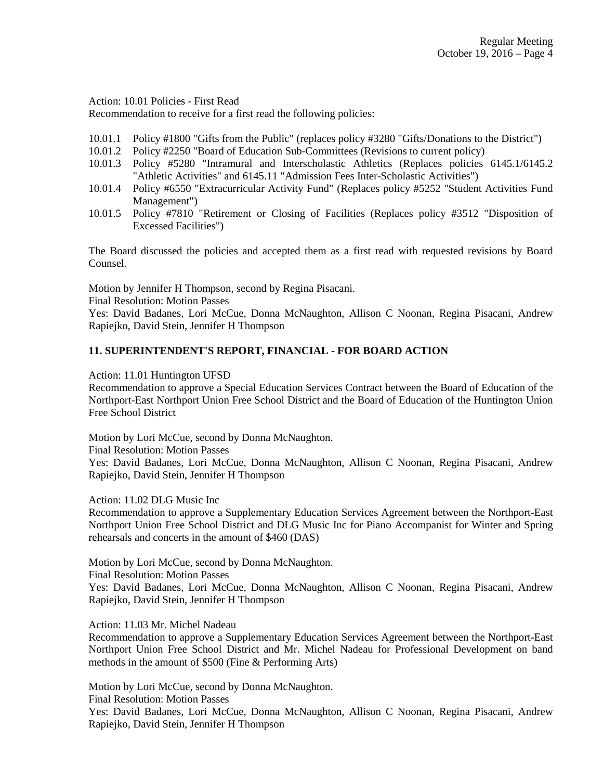Action: 10.01 Policies - First Read

Recommendation to receive for a first read the following policies:

- 10.01.1 Policy #1800 "Gifts from the Public" (replaces policy #3280 "Gifts/Donations to the District")
- 10.01.2 Policy #2250 "Board of Education Sub-Committees (Revisions to current policy)
- 10.01.3 Policy #5280 "Intramural and Interscholastic Athletics (Replaces policies 6145.1/6145.2 "Athletic Activities" and 6145.11 "Admission Fees Inter-Scholastic Activities")
- 10.01.4 Policy #6550 "Extracurricular Activity Fund" (Replaces policy #5252 "Student Activities Fund Management")
- 10.01.5 Policy #7810 "Retirement or Closing of Facilities (Replaces policy #3512 "Disposition of Excessed Facilities")

The Board discussed the policies and accepted them as a first read with requested revisions by Board Counsel.

Motion by Jennifer H Thompson, second by Regina Pisacani.

Final Resolution: Motion Passes

Yes: David Badanes, Lori McCue, Donna McNaughton, Allison C Noonan, Regina Pisacani, Andrew Rapiejko, David Stein, Jennifer H Thompson

## **11. SUPERINTENDENT'S REPORT, FINANCIAL - FOR BOARD ACTION**

Action: 11.01 Huntington UFSD

Recommendation to approve a Special Education Services Contract between the Board of Education of the Northport-East Northport Union Free School District and the Board of Education of the Huntington Union Free School District

Motion by Lori McCue, second by Donna McNaughton.

Final Resolution: Motion Passes

Yes: David Badanes, Lori McCue, Donna McNaughton, Allison C Noonan, Regina Pisacani, Andrew Rapiejko, David Stein, Jennifer H Thompson

Action: 11.02 DLG Music Inc

Recommendation to approve a Supplementary Education Services Agreement between the Northport-East Northport Union Free School District and DLG Music Inc for Piano Accompanist for Winter and Spring rehearsals and concerts in the amount of \$460 (DAS)

Motion by Lori McCue, second by Donna McNaughton.

Final Resolution: Motion Passes

Yes: David Badanes, Lori McCue, Donna McNaughton, Allison C Noonan, Regina Pisacani, Andrew Rapiejko, David Stein, Jennifer H Thompson

Action: 11.03 Mr. Michel Nadeau

Recommendation to approve a Supplementary Education Services Agreement between the Northport-East Northport Union Free School District and Mr. Michel Nadeau for Professional Development on band methods in the amount of \$500 (Fine & Performing Arts)

Motion by Lori McCue, second by Donna McNaughton.

Final Resolution: Motion Passes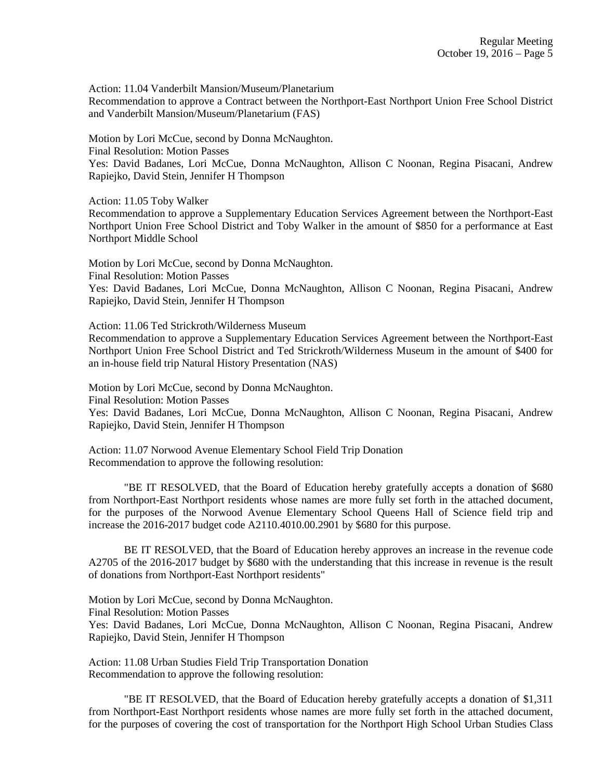Action: 11.04 Vanderbilt Mansion/Museum/Planetarium

Recommendation to approve a Contract between the Northport-East Northport Union Free School District and Vanderbilt Mansion/Museum/Planetarium (FAS)

Motion by Lori McCue, second by Donna McNaughton.

Final Resolution: Motion Passes

Yes: David Badanes, Lori McCue, Donna McNaughton, Allison C Noonan, Regina Pisacani, Andrew Rapiejko, David Stein, Jennifer H Thompson

Action: 11.05 Toby Walker

Recommendation to approve a Supplementary Education Services Agreement between the Northport-East Northport Union Free School District and Toby Walker in the amount of \$850 for a performance at East Northport Middle School

Motion by Lori McCue, second by Donna McNaughton. Final Resolution: Motion Passes

Yes: David Badanes, Lori McCue, Donna McNaughton, Allison C Noonan, Regina Pisacani, Andrew Rapiejko, David Stein, Jennifer H Thompson

Action: 11.06 Ted Strickroth/Wilderness Museum

Recommendation to approve a Supplementary Education Services Agreement between the Northport-East Northport Union Free School District and Ted Strickroth/Wilderness Museum in the amount of \$400 for an in-house field trip Natural History Presentation (NAS)

Motion by Lori McCue, second by Donna McNaughton. Final Resolution: Motion Passes Yes: David Badanes, Lori McCue, Donna McNaughton, Allison C Noonan, Regina Pisacani, Andrew Rapiejko, David Stein, Jennifer H Thompson

Action: 11.07 Norwood Avenue Elementary School Field Trip Donation Recommendation to approve the following resolution:

"BE IT RESOLVED, that the Board of Education hereby gratefully accepts a donation of \$680 from Northport-East Northport residents whose names are more fully set forth in the attached document, for the purposes of the Norwood Avenue Elementary School Queens Hall of Science field trip and increase the 2016-2017 budget code A2110.4010.00.2901 by \$680 for this purpose.

BE IT RESOLVED, that the Board of Education hereby approves an increase in the revenue code A2705 of the 2016-2017 budget by \$680 with the understanding that this increase in revenue is the result of donations from Northport-East Northport residents"

Motion by Lori McCue, second by Donna McNaughton. Final Resolution: Motion Passes Yes: David Badanes, Lori McCue, Donna McNaughton, Allison C Noonan, Regina Pisacani, Andrew Rapiejko, David Stein, Jennifer H Thompson

Action: 11.08 Urban Studies Field Trip Transportation Donation Recommendation to approve the following resolution:

 "BE IT RESOLVED, that the Board of Education hereby gratefully accepts a donation of \$1,311 from Northport-East Northport residents whose names are more fully set forth in the attached document, for the purposes of covering the cost of transportation for the Northport High School Urban Studies Class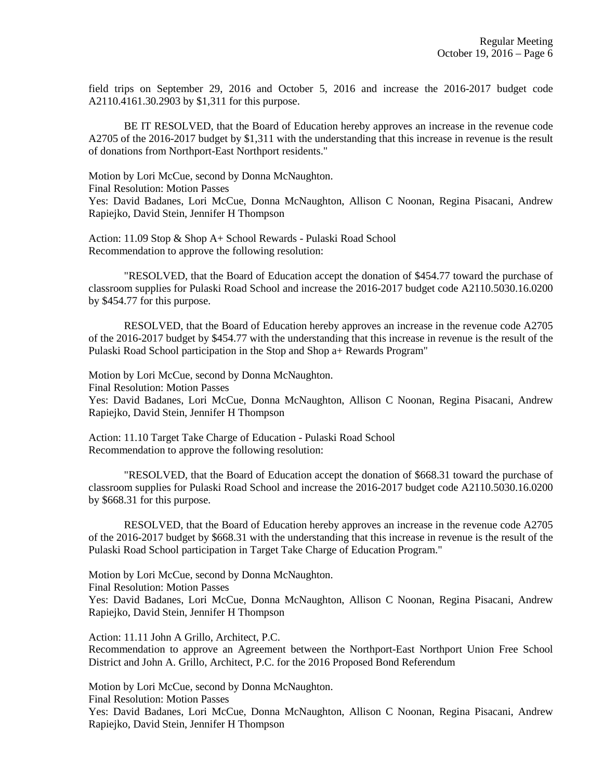field trips on September 29, 2016 and October 5, 2016 and increase the 2016-2017 budget code A2110.4161.30.2903 by \$1,311 for this purpose.

BE IT RESOLVED, that the Board of Education hereby approves an increase in the revenue code A2705 of the 2016-2017 budget by \$1,311 with the understanding that this increase in revenue is the result of donations from Northport-East Northport residents."

Motion by Lori McCue, second by Donna McNaughton.

Final Resolution: Motion Passes

Yes: David Badanes, Lori McCue, Donna McNaughton, Allison C Noonan, Regina Pisacani, Andrew Rapiejko, David Stein, Jennifer H Thompson

Action: 11.09 Stop & Shop A+ School Rewards - Pulaski Road School Recommendation to approve the following resolution:

"RESOLVED, that the Board of Education accept the donation of \$454.77 toward the purchase of classroom supplies for Pulaski Road School and increase the 2016-2017 budget code A2110.5030.16.0200 by \$454.77 for this purpose.

RESOLVED, that the Board of Education hereby approves an increase in the revenue code A2705 of the 2016-2017 budget by \$454.77 with the understanding that this increase in revenue is the result of the Pulaski Road School participation in the Stop and Shop a+ Rewards Program"

Motion by Lori McCue, second by Donna McNaughton.

Final Resolution: Motion Passes

Yes: David Badanes, Lori McCue, Donna McNaughton, Allison C Noonan, Regina Pisacani, Andrew Rapiejko, David Stein, Jennifer H Thompson

Action: 11.10 Target Take Charge of Education - Pulaski Road School Recommendation to approve the following resolution:

"RESOLVED, that the Board of Education accept the donation of \$668.31 toward the purchase of classroom supplies for Pulaski Road School and increase the 2016-2017 budget code A2110.5030.16.0200 by \$668.31 for this purpose.

RESOLVED, that the Board of Education hereby approves an increase in the revenue code A2705 of the 2016-2017 budget by \$668.31 with the understanding that this increase in revenue is the result of the Pulaski Road School participation in Target Take Charge of Education Program."

Motion by Lori McCue, second by Donna McNaughton.

Final Resolution: Motion Passes

Yes: David Badanes, Lori McCue, Donna McNaughton, Allison C Noonan, Regina Pisacani, Andrew Rapiejko, David Stein, Jennifer H Thompson

Action: 11.11 John A Grillo, Architect, P.C.

Recommendation to approve an Agreement between the Northport-East Northport Union Free School District and John A. Grillo, Architect, P.C. for the 2016 Proposed Bond Referendum

Motion by Lori McCue, second by Donna McNaughton.

Final Resolution: Motion Passes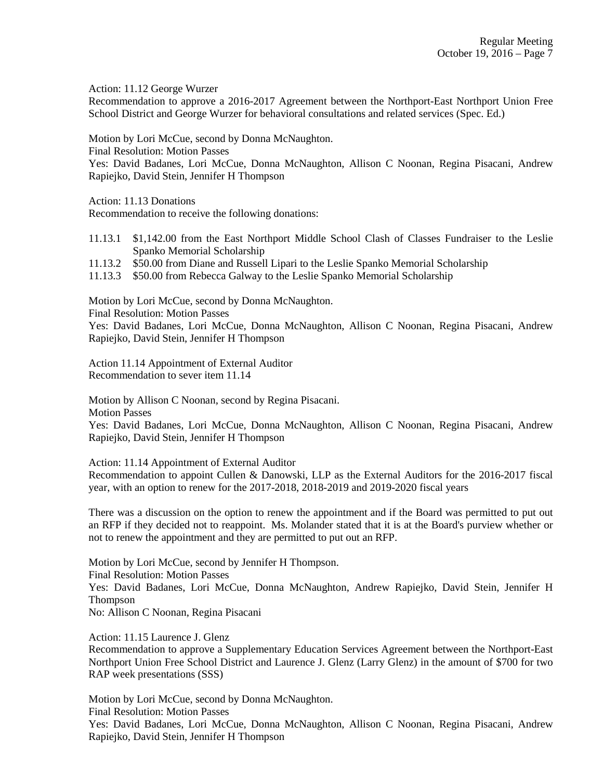Action: 11.12 George Wurzer

Recommendation to approve a 2016-2017 Agreement between the Northport-East Northport Union Free School District and George Wurzer for behavioral consultations and related services (Spec. Ed.)

Motion by Lori McCue, second by Donna McNaughton.

Final Resolution: Motion Passes

Yes: David Badanes, Lori McCue, Donna McNaughton, Allison C Noonan, Regina Pisacani, Andrew Rapiejko, David Stein, Jennifer H Thompson

Action: 11.13 Donations

Recommendation to receive the following donations:

- 11.13.1 \$1,142.00 from the East Northport Middle School Clash of Classes Fundraiser to the Leslie Spanko Memorial Scholarship
- 11.13.2 \$50.00 from Diane and Russell Lipari to the Leslie Spanko Memorial Scholarship
- 11.13.3 \$50.00 from Rebecca Galway to the Leslie Spanko Memorial Scholarship

Motion by Lori McCue, second by Donna McNaughton.

Final Resolution: Motion Passes

Yes: David Badanes, Lori McCue, Donna McNaughton, Allison C Noonan, Regina Pisacani, Andrew Rapiejko, David Stein, Jennifer H Thompson

Action 11.14 Appointment of External Auditor Recommendation to sever item 11.14

Motion by Allison C Noonan, second by Regina Pisacani.

Motion Passes

Yes: David Badanes, Lori McCue, Donna McNaughton, Allison C Noonan, Regina Pisacani, Andrew Rapiejko, David Stein, Jennifer H Thompson

Action: 11.14 Appointment of External Auditor

Recommendation to appoint Cullen & Danowski, LLP as the External Auditors for the 2016-2017 fiscal year, with an option to renew for the 2017-2018, 2018-2019 and 2019-2020 fiscal years

There was a discussion on the option to renew the appointment and if the Board was permitted to put out an RFP if they decided not to reappoint. Ms. Molander stated that it is at the Board's purview whether or not to renew the appointment and they are permitted to put out an RFP.

Motion by Lori McCue, second by Jennifer H Thompson. Final Resolution: Motion Passes Yes: David Badanes, Lori McCue, Donna McNaughton, Andrew Rapiejko, David Stein, Jennifer H Thompson No: Allison C Noonan, Regina Pisacani

Action: 11.15 Laurence J. Glenz

Recommendation to approve a Supplementary Education Services Agreement between the Northport-East Northport Union Free School District and Laurence J. Glenz (Larry Glenz) in the amount of \$700 for two RAP week presentations (SSS)

Motion by Lori McCue, second by Donna McNaughton. Final Resolution: Motion Passes